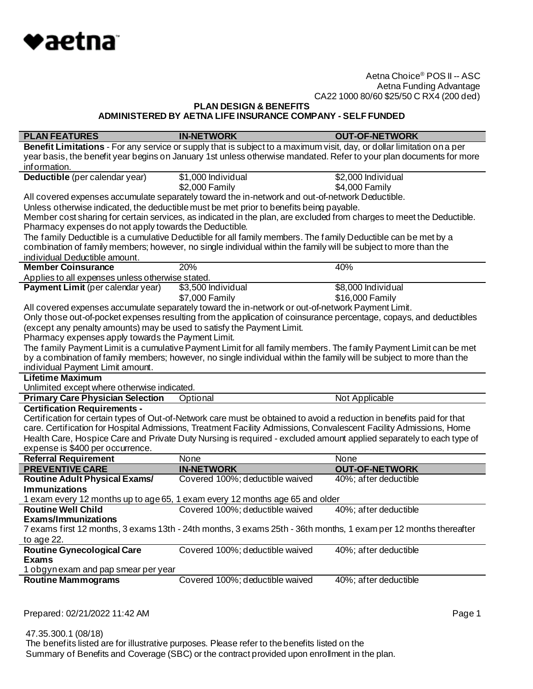

**PLAN DESIGN & BENEFITS**

**ADMINISTERED BY AETNA LIFE INSURANCE COMPANY - SELF FUNDED**

| <b>PLAN FEATURES</b>                                                   | <b>IN-NETWORK</b>                                                                                                      | <b>OUT-OF-NETWORK</b>         |
|------------------------------------------------------------------------|------------------------------------------------------------------------------------------------------------------------|-------------------------------|
|                                                                        | Benefit Limitations - For any service or supply that is subject to a maximum visit, day, or dollar limitation on a per |                               |
|                                                                        | year basis, the benefit year begins on January 1st unless otherwise mandated. Refer to your plan documents for more    |                               |
| information.                                                           |                                                                                                                        |                               |
| Deductible (per calendar year)                                         | \$1,000 Individual                                                                                                     | \$2,000 Individual            |
|                                                                        | \$2,000 Family                                                                                                         | \$4,000 Family                |
|                                                                        | All covered expenses accumulate separately toward the in-network and out-of-network Deductible.                        |                               |
|                                                                        | Unless otherwise indicated, the deductible must be met prior to benefits being payable.                                |                               |
|                                                                        | Member cost sharing for certain services, as indicated in the plan, are excluded from charges to meet the Deductible.  |                               |
| Pharmacy expenses do not apply towards the Deductible.                 |                                                                                                                        |                               |
|                                                                        | The family Deductible is a cumulative Deductible for all family members. The family Deductible can be met by a         |                               |
|                                                                        | combination of family members; however, no single individual within the family will be subject to more than the        |                               |
| individual Deductible amount.                                          |                                                                                                                        |                               |
| <b>Member Coinsurance</b>                                              | 20%                                                                                                                    | 40%                           |
| Applies to all expenses unless otherwise stated.                       |                                                                                                                        |                               |
| Payment Limit (per calendar year)                                      | \$3,500 Individual                                                                                                     | \$8,000 Individual            |
|                                                                        | \$7,000 Family                                                                                                         | \$16,000 Family               |
|                                                                        | All covered expenses accumulate separately toward the in-network or out-of-network Payment Limit.                      |                               |
|                                                                        | Only those out-of-pocket expenses resulting from the application of coinsurance percentage, copays, and deductibles    |                               |
| (except any penalty amounts) may be used to satisfy the Payment Limit. |                                                                                                                        |                               |
| Pharmacy expenses apply towards the Payment Limit.                     |                                                                                                                        |                               |
|                                                                        | The family Payment Limit is a cumulative Payment Limit for all family members. The family Payment Limit can be met     |                               |
|                                                                        | by a combination of family members; however, no single individual within the family will be subject to more than the   |                               |
| individual Payment Limit amount.                                       |                                                                                                                        |                               |
| <b>Lifetime Maximum</b>                                                |                                                                                                                        |                               |
| Unlimited except where otherwise indicated.                            |                                                                                                                        |                               |
| <b>Primary Care Physician Selection</b>                                | Optional                                                                                                               | Not Applicable                |
| <b>Certification Requirements -</b>                                    |                                                                                                                        |                               |
|                                                                        | Certification for certain types of Out-of-Network care must be obtained to avoid a reduction in benefits paid for that |                               |
|                                                                        | care. Certification for Hospital Admissions, Treatment Facility Admissions, Convalescent Facility Admissions, Home     |                               |
|                                                                        | Health Care, Hospice Care and Private Duty Nursing is required - excluded amount applied separately to each type of    |                               |
| expense is \$400 per occurrence.                                       |                                                                                                                        |                               |
| <b>Referral Requirement</b><br><b>PREVENTIVE CARE</b>                  | None<br><b>IN-NETWORK</b>                                                                                              | None<br><b>OUT-OF-NETWORK</b> |
| <b>Routine Adult Physical Exams/</b>                                   | Covered 100%; deductible waived                                                                                        | 40%; after deductible         |
| <b>Immunizations</b>                                                   |                                                                                                                        |                               |
|                                                                        | 1 exam every 12 months up to age 65, 1 exam every 12 months age 65 and older                                           |                               |
| <b>Routine Well Child</b>                                              | Covered 100%; deductible waived                                                                                        | 40%; after deductible         |
| Exams/Immunizations                                                    |                                                                                                                        |                               |
|                                                                        | 7 exams first 12 months, 3 exams 13th - 24th months, 3 exams 25th - 36th months, 1 exam per 12 months thereafter       |                               |
| to age 22.                                                             |                                                                                                                        |                               |
| <b>Routine Gynecological Care</b>                                      | Covered 100%; deductible waived                                                                                        | 40%; after deductible         |
| <b>Exams</b>                                                           |                                                                                                                        |                               |
| 1 obgyn exam and pap smear per year                                    |                                                                                                                        |                               |
| <b>Routine Mammograms</b>                                              | Covered 100%; deductible waived                                                                                        | 40%; after deductible         |
|                                                                        |                                                                                                                        |                               |

Prepared: 02/21/2022 11:42 AM **Page 1** 

 47.35.300.1 (08/18) The benefits listed are for illustrative purposes. Please refer to the benefits listed on the Summary of Benefits and Coverage (SBC) or the contract provided upon enrollment in the plan.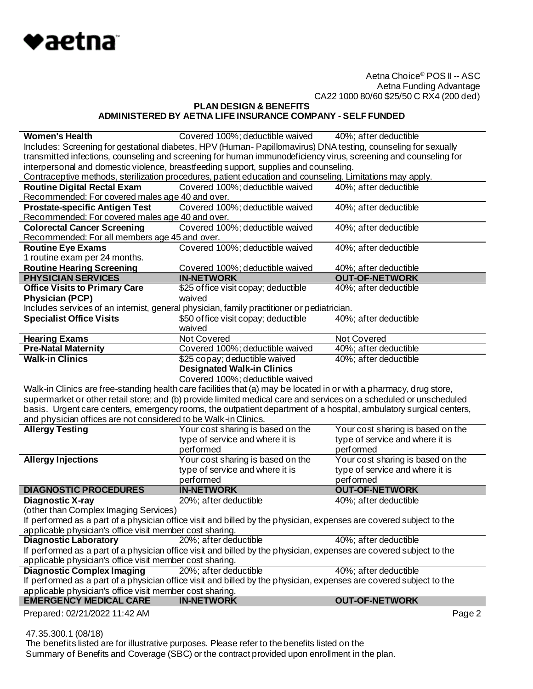

**PLAN DESIGN & BENEFITS ADMINISTERED BY AETNA LIFE INSURANCE COMPANY - SELF FUNDED**

| <b>Women's Health</b>                                           | Covered 100%; deductible waived                                                                                     | 40%; after deductible                                                |  |
|-----------------------------------------------------------------|---------------------------------------------------------------------------------------------------------------------|----------------------------------------------------------------------|--|
|                                                                 | Includes: Screening for gestational diabetes, HPV (Human-Papillomavirus) DNA testing, counseling for sexually       |                                                                      |  |
|                                                                 | transmitted infections, counseling and screening for human immunodeficiency virus, screening and counseling for     |                                                                      |  |
|                                                                 | interpersonal and domestic violence, breastfeeding support, supplies and counseling.                                |                                                                      |  |
|                                                                 | Contraceptive methods, sterilization procedures, patient education and counseling. Limitations may apply.           |                                                                      |  |
| <b>Routine Digital Rectal Exam</b>                              | Covered 100%; deductible waived                                                                                     | 40%; after deductible                                                |  |
| Recommended: For covered males age 40 and over.                 |                                                                                                                     |                                                                      |  |
| <b>Prostate-specific Antigen Test</b>                           | Covered 100%; deductible waived                                                                                     | 40%; after deductible                                                |  |
| Recommended: For covered males age 40 and over.                 |                                                                                                                     |                                                                      |  |
| <b>Colorectal Cancer Screening</b>                              | Covered 100%; deductible waived                                                                                     | 40%; after deductible                                                |  |
| Recommended: For all members age 45 and over.                   |                                                                                                                     |                                                                      |  |
| <b>Routine Eye Exams</b>                                        | Covered 100%; deductible waived                                                                                     | 40%; after deductible                                                |  |
| 1 routine exam per 24 months.                                   |                                                                                                                     |                                                                      |  |
| <b>Routine Hearing Screening</b>                                | Covered 100%; deductible waived                                                                                     | 40%; after deductible                                                |  |
| <b>PHYSICIAN SERVICES</b>                                       | <b>IN-NETWORK</b>                                                                                                   | <b>OUT-OF-NETWORK</b>                                                |  |
| <b>Office Visits to Primary Care</b>                            | \$25 office visit copay; deductible                                                                                 | 40%; after deductible                                                |  |
| <b>Physician (PCP)</b>                                          | waived                                                                                                              |                                                                      |  |
|                                                                 | Includes services of an internist, general physician, family practitioner or pediatrician.                          |                                                                      |  |
| <b>Specialist Office Visits</b>                                 | \$50 office visit copay; deductible                                                                                 | 40%; after deductible                                                |  |
|                                                                 | waived                                                                                                              |                                                                      |  |
| <b>Hearing Exams</b>                                            | Not Covered                                                                                                         | Not Covered                                                          |  |
| <b>Pre-Natal Maternity</b>                                      | Covered 100%; deductible waived                                                                                     | 40%; after deductible                                                |  |
| <b>Walk-in Clinics</b>                                          | \$25 copay; deductible waived                                                                                       | 40%; after deductible                                                |  |
|                                                                 | <b>Designated Walk-in Clinics</b>                                                                                   |                                                                      |  |
|                                                                 |                                                                                                                     |                                                                      |  |
|                                                                 |                                                                                                                     |                                                                      |  |
|                                                                 | Covered 100%; deductible waived                                                                                     |                                                                      |  |
|                                                                 | Walk-in Clinics are free-standing health care facilities that (a) may be located in or with a pharmacy, drug store, |                                                                      |  |
|                                                                 | supermarket or other retail store; and (b) provide limited medical care and services on a scheduled or unscheduled  |                                                                      |  |
|                                                                 | basis. Urgent care centers, emergency rooms, the outpatient department of a hospital, ambulatory surgical centers,  |                                                                      |  |
| and physician offices are not considered to be Walk-in Clinics. |                                                                                                                     |                                                                      |  |
| <b>Allergy Testing</b>                                          | Your cost sharing is based on the                                                                                   | Your cost sharing is based on the                                    |  |
|                                                                 | type of service and where it is                                                                                     | type of service and where it is                                      |  |
|                                                                 | performed                                                                                                           | performed                                                            |  |
| <b>Allergy Injections</b>                                       | Your cost sharing is based on the<br>type of service and where it is                                                | Your cost sharing is based on the<br>type of service and where it is |  |
|                                                                 |                                                                                                                     |                                                                      |  |
|                                                                 | performed                                                                                                           | performed                                                            |  |
| <b>DIAGNOSTIC PROCEDURES</b>                                    | <b>IN-NETWORK</b>                                                                                                   | <b>OUT-OF-NETWORK</b>                                                |  |
| <b>Diagnostic X-ray</b>                                         | 20%; after deductible                                                                                               | 40%; after deductible                                                |  |
| (other than Complex Imaging Services)                           |                                                                                                                     |                                                                      |  |
|                                                                 | If performed as a part of a physician office visit and billed by the physician, expenses are covered subject to the |                                                                      |  |
| applicable physician's office visit member cost sharing.        |                                                                                                                     |                                                                      |  |
| <b>Diagnostic Laboratory</b>                                    | 20%; after deductible                                                                                               | 40%; after deductible                                                |  |
| applicable physician's office visit member cost sharing.        | If performed as a part of a physician office visit and billed by the physician, expenses are covered subject to the |                                                                      |  |
|                                                                 | 20%; after deductible                                                                                               | 40%; after deductible                                                |  |
| <b>Diagnostic Complex Imaging</b>                               |                                                                                                                     |                                                                      |  |
| applicable physician's office visit member cost sharing.        | If performed as a part of a physician office visit and billed by the physician, expenses are covered subject to the |                                                                      |  |
| <b>EMERGENCY MEDICAL CARE</b>                                   | <b>IN-NETWORK</b>                                                                                                   | <b>OUT-OF-NETWORK</b>                                                |  |
| Prepared: 02/21/2022 11:42 AM                                   |                                                                                                                     | Page 2                                                               |  |

47.35.300.1 (08/18)

 The benefits listed are for illustrative purposes. Please refer to the benefits listed on the Summary of Benefits and Coverage (SBC) or the contract provided upon enrollment in the plan.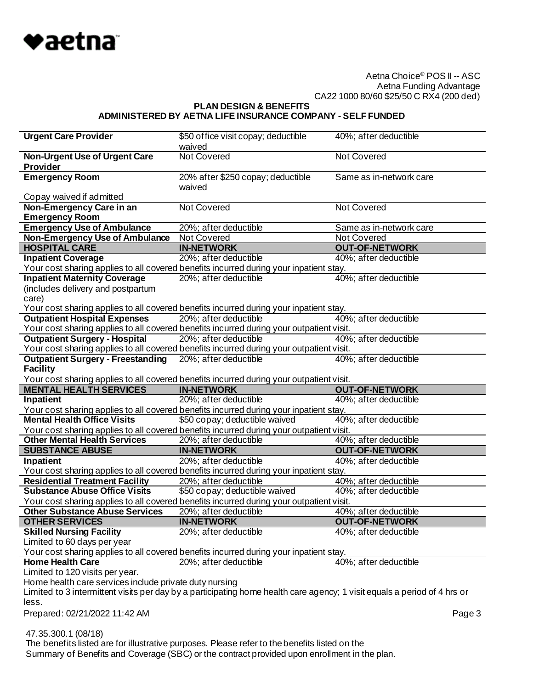

**PLAN DESIGN & BENEFITS**

### **ADMINISTERED BY AETNA LIFE INSURANCE COMPANY - SELF FUNDED**

| <b>Urgent Care Provider</b>                                                                                                                                                        | \$50 office visit copay; deductible<br>waived | 40%; after deductible                |
|------------------------------------------------------------------------------------------------------------------------------------------------------------------------------------|-----------------------------------------------|--------------------------------------|
|                                                                                                                                                                                    | <b>Not Covered</b>                            | <b>Not Covered</b>                   |
| <b>Non-Urgent Use of Urgent Care</b><br><b>Provider</b>                                                                                                                            |                                               |                                      |
| <b>Emergency Room</b>                                                                                                                                                              | 20% after \$250 copay; deductible<br>waived   | Same as in-network care              |
| Copay waived if admitted                                                                                                                                                           |                                               |                                      |
| Non-Emergency Care in an                                                                                                                                                           | <b>Not Covered</b>                            | <b>Not Covered</b>                   |
| <b>Emergency Room</b>                                                                                                                                                              |                                               |                                      |
| <b>Emergency Use of Ambulance</b>                                                                                                                                                  | 20%; after deductible<br>Not Covered          | Same as in-network care              |
| <b>Non-Emergency Use of Ambulance</b><br><b>HOSPITAL CARE</b>                                                                                                                      | <b>IN-NETWORK</b>                             | Not Covered<br><b>OUT-OF-NETWORK</b> |
| <b>Inpatient Coverage</b>                                                                                                                                                          |                                               |                                      |
|                                                                                                                                                                                    | 20%; after deductible                         | 40%; after deductible                |
| Your cost sharing applies to all covered benefits incurred during your inpatient stay.                                                                                             |                                               | 40%; after deductible                |
| <b>Inpatient Maternity Coverage</b>                                                                                                                                                | 20%; after deductible                         |                                      |
| (includes delivery and postpartum                                                                                                                                                  |                                               |                                      |
| care)                                                                                                                                                                              |                                               |                                      |
| Your cost sharing applies to all covered benefits incurred during your inpatient stay.<br><b>Outpatient Hospital Expenses</b>                                                      | 20%; after deductible                         | 40%; after deductible                |
| Your cost sharing applies to all covered benefits incurred during your outpatient visit.                                                                                           |                                               |                                      |
| <b>Outpatient Surgery - Hospital</b>                                                                                                                                               | 20%; after deductible                         | 40%; after deductible                |
| Your cost sharing applies to all covered benefits incurred during your outpatient visit.                                                                                           |                                               |                                      |
| <b>Outpatient Surgery - Freestanding</b>                                                                                                                                           | 20%; after deductible                         | 40%; after deductible                |
| <b>Facility</b>                                                                                                                                                                    |                                               |                                      |
| Your cost sharing applies to all covered benefits incurred during your outpatient visit.                                                                                           |                                               |                                      |
| <b>MENTAL HEALTH SERVICES</b>                                                                                                                                                      | <b>IN-NETWORK</b>                             | <b>OUT-OF-NETWORK</b>                |
|                                                                                                                                                                                    |                                               |                                      |
|                                                                                                                                                                                    |                                               |                                      |
| Inpatient                                                                                                                                                                          | 20%; after deductible                         | 40%; after deductible                |
| Your cost sharing applies to all covered benefits incurred during your inpatient stay.                                                                                             |                                               |                                      |
| <b>Mental Health Office Visits</b>                                                                                                                                                 | \$50 copay; deductible waived                 | 40%; after deductible                |
| Your cost sharing applies to all covered benefits incurred during your outpatient visit.                                                                                           |                                               |                                      |
| <b>Other Mental Health Services</b>                                                                                                                                                | 20%; after deductible                         | 40%; after deductible                |
| <b>SUBSTANCE ABUSE</b>                                                                                                                                                             | <b>IN-NETWORK</b>                             | <b>OUT-OF-NETWORK</b>                |
| Inpatient                                                                                                                                                                          | $20\%$ ; after deductible                     | 40%; after deductible                |
| Your cost sharing applies to all covered benefits incurred during your inpatient stay.                                                                                             |                                               |                                      |
| <b>Residential Treatment Facility</b>                                                                                                                                              | 20%; after deductible                         | 40%; after deductible                |
| <b>Substance Abuse Office Visits</b>                                                                                                                                               | \$50 copay; deductible waived                 | 40%; after deductible                |
| Your cost sharing applies to all covered benefits incurred during your outpatient visit.                                                                                           |                                               |                                      |
| <b>Other Substance Abuse Services</b>                                                                                                                                              | 20%; after deductible                         | 40%; after deductible                |
| <b>OTHER SERVICES</b>                                                                                                                                                              | <b>IN-NETWORK</b>                             | <b>OUT-OF-NETWORK</b>                |
| <b>Skilled Nursing Facility</b>                                                                                                                                                    | 20%; after deductible                         | 40%; after deductible                |
| Limited to 60 days per year                                                                                                                                                        |                                               |                                      |
| Your cost sharing applies to all covered benefits incurred during your inpatient stay.<br><b>Home Health Care</b>                                                                  |                                               |                                      |
|                                                                                                                                                                                    | 20%; after deductible                         | 40%; after deductible                |
| Limited to 120 visits per year.                                                                                                                                                    |                                               |                                      |
| Home health care services include private duty nursing<br>Limited to 3 intermittent visits per day by a participating home health care agency; 1 visit equals a period of 4 hrs or |                                               |                                      |
|                                                                                                                                                                                    |                                               |                                      |
| less.<br>Prepared: 02/21/2022 11:42 AM                                                                                                                                             |                                               |                                      |
|                                                                                                                                                                                    |                                               | Page 3                               |
| 47.35.300.1 (08/18)                                                                                                                                                                |                                               |                                      |

Summary of Benefits and Coverage (SBC) or the contract provided upon enrollment in the plan.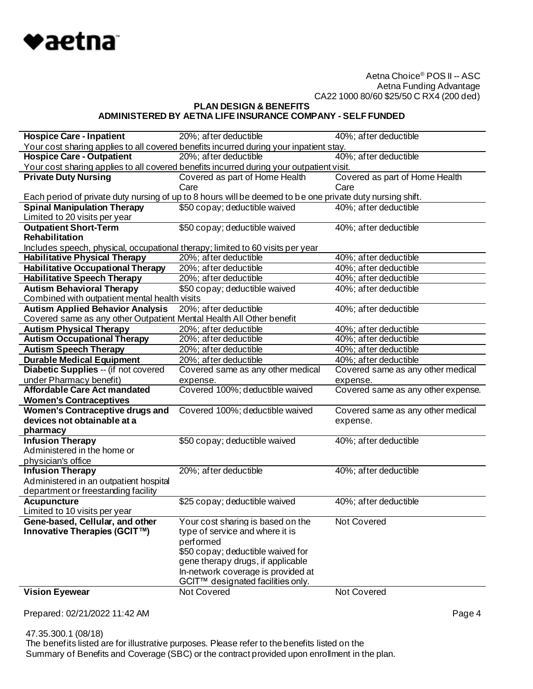

**PLAN DESIGN & BENEFITS**

# **ADMINISTERED BY AETNA LIFE INSURANCE COMPANY - SELF FUNDED**

| <b>Hospice Care - Inpatient</b>                                                | 20%; after deductible                                                                                     | 40%; after deductible              |
|--------------------------------------------------------------------------------|-----------------------------------------------------------------------------------------------------------|------------------------------------|
|                                                                                | Your cost sharing applies to all covered benefits incurred during your inpatient stay.                    |                                    |
| <b>Hospice Care - Outpatient</b>                                               | 20%; after deductible                                                                                     | 40%; after deductible              |
|                                                                                | Your cost sharing applies to all covered benefits incurred during your outpatient visit.                  |                                    |
| <b>Private Duty Nursing</b>                                                    | Covered as part of Home Health                                                                            | Covered as part of Home Health     |
|                                                                                | Care                                                                                                      | Care                               |
|                                                                                | Each period of private duty nursing of up to 8 hours will be deemed to be one private duty nursing shift. |                                    |
| <b>Spinal Manipulation Therapy</b>                                             | \$50 copay; deductible waived                                                                             | 40%; after deductible              |
| Limited to 20 visits per year                                                  |                                                                                                           |                                    |
| <b>Outpatient Short-Term</b>                                                   | \$50 copay; deductible waived                                                                             | 40%; after deductible              |
| <b>Rehabilitation</b>                                                          |                                                                                                           |                                    |
| Includes speech, physical, occupational therapy; limited to 60 visits per year |                                                                                                           |                                    |
| <b>Habilitative Physical Therapy</b>                                           | 20%; after deductible                                                                                     | 40%; after deductible              |
| <b>Habilitative Occupational Therapy</b>                                       | 20%; after deductible                                                                                     | 40%; after deductible              |
| <b>Habilitative Speech Therapy</b>                                             | 20%; after deductible                                                                                     | 40%; after deductible              |
| <b>Autism Behavioral Therapy</b>                                               | \$50 copay; deductible waived                                                                             | 40%; after deductible              |
| Combined with outpatient mental health visits                                  |                                                                                                           |                                    |
| <b>Autism Applied Behavior Analysis</b>                                        | 20%; after deductible                                                                                     | 40%; after deductible              |
| Covered same as any other Outpatient Mental Health All Other benefit           |                                                                                                           |                                    |
| <b>Autism Physical Therapy</b>                                                 | 20%; after deductible                                                                                     | 40%; after deductible              |
| <b>Autism Occupational Therapy</b>                                             | 20%; after deductible                                                                                     | 40%; after deductible              |
| <b>Autism Speech Therapy</b>                                                   | 20%; after deductible                                                                                     | 40%; after deductible              |
| <b>Durable Medical Equipment</b>                                               | 20%; after deductible                                                                                     | 40%; after deductible              |
| Diabetic Supplies -- (if not covered                                           | Covered same as any other medical                                                                         | Covered same as any other medical  |
| under Pharmacy benefit)                                                        | expense.                                                                                                  | expense.                           |
| <b>Affordable Care Act mandated</b>                                            | Covered 100%; deductible waived                                                                           | Covered same as any other expense. |
| <b>Women's Contraceptives</b>                                                  |                                                                                                           |                                    |
| <b>Women's Contraceptive drugs and</b>                                         | Covered 100%; deductible waived                                                                           | Covered same as any other medical  |
| devices not obtainable at a                                                    |                                                                                                           | expense.                           |
| pharmacy                                                                       |                                                                                                           |                                    |
| <b>Infusion Therapy</b>                                                        | \$50 copay; deductible waived                                                                             | 40%; after deductible              |
| Administered in the home or                                                    |                                                                                                           |                                    |
| physician's office                                                             |                                                                                                           |                                    |
| <b>Infusion Therapy</b>                                                        | 20%; after deductible                                                                                     | 40%; after deductible              |
| Administered in an outpatient hospital                                         |                                                                                                           |                                    |
| department or freestanding facility                                            |                                                                                                           |                                    |
| <b>Acupuncture</b>                                                             | \$25 copay; deductible waived                                                                             | 40%; after deductible              |
| Limited to 10 visits per year                                                  |                                                                                                           |                                    |
| Gene-based, Cellular, and other                                                | Your cost sharing is based on the                                                                         | Not Covered                        |
| Innovative Therapies (GCIT™)                                                   | type of service and where it is                                                                           |                                    |
|                                                                                | performed                                                                                                 |                                    |
|                                                                                | \$50 copay; deductible waived for                                                                         |                                    |
|                                                                                | gene therapy drugs, if applicable                                                                         |                                    |
|                                                                                | In-network coverage is provided at                                                                        |                                    |
|                                                                                | GCIT™ designated facilities only.                                                                         |                                    |
| <b>Vision Eyewear</b>                                                          | Not Covered                                                                                               | Not Covered                        |

Prepared: 02/21/2022 11:42 AM **Page 4** 

 47.35.300.1 (08/18) The benefits listed are for illustrative purposes. Please refer to the benefits listed on the Summary of Benefits and Coverage (SBC) or the contract provided upon enrollment in the plan.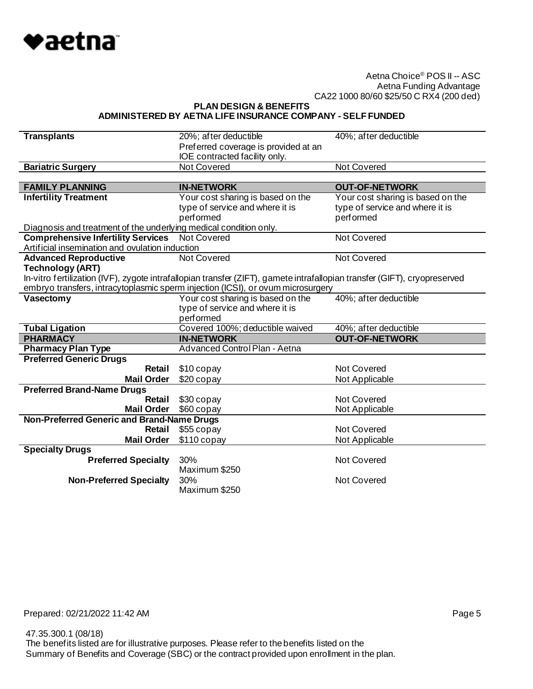

**PLAN DESIGN & BENEFITS**

#### **ADMINISTERED BY AETNA LIFE INSURANCE COMPANY - SELF FUNDED**

| <b>Transplants</b>                                                | 20%; after deductible<br>Preferred coverage is provided at an                                                             | 40%; after deductible             |
|-------------------------------------------------------------------|---------------------------------------------------------------------------------------------------------------------------|-----------------------------------|
|                                                                   | IOE contracted facility only.                                                                                             |                                   |
| <b>Bariatric Surgery</b>                                          | <b>Not Covered</b>                                                                                                        | <b>Not Covered</b>                |
|                                                                   |                                                                                                                           |                                   |
| <b>FAMILY PLANNING</b>                                            | <b>IN-NETWORK</b>                                                                                                         | <b>OUT-OF-NETWORK</b>             |
| <b>Infertility Treatment</b>                                      | Your cost sharing is based on the                                                                                         | Your cost sharing is based on the |
|                                                                   | type of service and where it is                                                                                           | type of service and where it is   |
|                                                                   | performed                                                                                                                 | performed                         |
| Diagnosis and treatment of the underlying medical condition only. |                                                                                                                           |                                   |
| <b>Comprehensive Infertility Services</b>                         | <b>Not Covered</b>                                                                                                        | Not Covered                       |
| Artificial insemination and ovulation induction                   |                                                                                                                           |                                   |
| <b>Advanced Reproductive</b>                                      | Not Covered                                                                                                               | Not Covered                       |
| <b>Technology (ART)</b>                                           |                                                                                                                           |                                   |
|                                                                   | In-vitro fertilization (IVF), zygote intrafallopian transfer (ZIFT), gamete intrafallopian transfer (GIFT), cryopreserved |                                   |
| Vasectomy                                                         | embryo transfers, intracytoplasmic sperm injection (ICSI), or ovum microsurgery<br>Your cost sharing is based on the      | 40%; after deductible             |
|                                                                   | type of service and where it is                                                                                           |                                   |
|                                                                   | performed                                                                                                                 |                                   |
| <b>Tubal Ligation</b>                                             | Covered 100%; deductible waived                                                                                           | 40%; after deductible             |
| <b>PHARMACY</b>                                                   | <b>IN-NETWORK</b>                                                                                                         | <b>OUT-OF-NETWORK</b>             |
| <b>Pharmacy Plan Type</b>                                         | Advanced Control Plan - Aetna                                                                                             |                                   |
| <b>Preferred Generic Drugs</b>                                    |                                                                                                                           |                                   |
| Retail                                                            | \$10 copay                                                                                                                | Not Covered                       |
| <b>Mail Order</b>                                                 | $$20$ copay                                                                                                               | Not Applicable                    |
| <b>Preferred Brand-Name Drugs</b>                                 |                                                                                                                           |                                   |
| Retail                                                            | \$30 copay                                                                                                                | <b>Not Covered</b>                |
| <b>Mail Order</b>                                                 | \$60 copay                                                                                                                | Not Applicable                    |
| Non-Preferred Generic and Brand-Name Drugs                        |                                                                                                                           |                                   |
| Retail                                                            | \$55 copay                                                                                                                | Not Covered                       |
| <b>Mail Order</b>                                                 | $$110$ copay                                                                                                              | Not Applicable                    |
| <b>Specialty Drugs</b>                                            |                                                                                                                           |                                   |
| <b>Preferred Specialty</b>                                        | 30%                                                                                                                       | <b>Not Covered</b>                |
|                                                                   | Maximum \$250                                                                                                             |                                   |
| <b>Non-Preferred Specialty</b>                                    | 30%<br>Maximum \$250                                                                                                      | Not Covered                       |
|                                                                   |                                                                                                                           |                                   |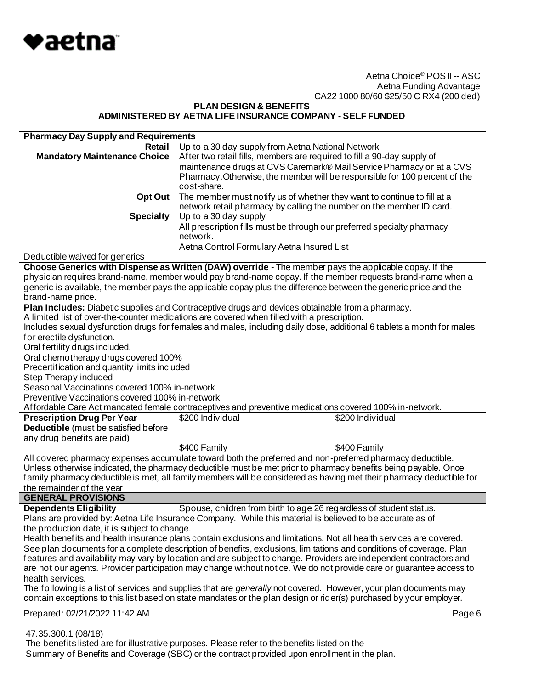

**PLAN DESIGN & BENEFITS ADMINISTERED BY AETNA LIFE INSURANCE COMPANY - SELF FUNDED**

| <b>Pharmacy Day Supply and Requirements</b>            |                                                                                                                          |
|--------------------------------------------------------|--------------------------------------------------------------------------------------------------------------------------|
| Retail                                                 | Up to a 30 day supply from Aetna National Network                                                                        |
| <b>Mandatory Maintenance Choice</b>                    | After two retail fills, members are required to fill a 90-day supply of                                                  |
|                                                        | maintenance drugs at CVS Caremark® Mail Service Pharmacy or at a CVS                                                     |
|                                                        | Pharmacy. Otherwise, the member will be responsible for 100 percent of the                                               |
|                                                        | cost-share.                                                                                                              |
|                                                        |                                                                                                                          |
| Opt Out                                                | The member must notify us of whether they want to continue to fill at a                                                  |
|                                                        | network retail pharmacy by calling the number on the member ID card.                                                     |
| <b>Specialty</b>                                       | Up to a 30 day supply                                                                                                    |
|                                                        | All prescription fills must be through our preferred specialty pharmacy                                                  |
|                                                        | network.                                                                                                                 |
|                                                        | Aetna Control Formulary Aetna Insured List                                                                               |
| Deductible waived for generics                         |                                                                                                                          |
|                                                        | Choose Generics with Dispense as Written (DAW) override - The member pays the applicable copay. If the                   |
|                                                        | physician requires brand-name, member would pay brand-name copay. If the member requests brand-name when a               |
|                                                        | generic is available, the member pays the applicable copay plus the difference between the generic price and the         |
| brand-name price.                                      |                                                                                                                          |
|                                                        | Plan Includes: Diabetic supplies and Contraceptive drugs and devices obtainable from a pharmacy.                         |
|                                                        | A limited list of over-the-counter medications are covered when filled with a prescription.                              |
|                                                        | Includes sexual dysfunction drugs for females and males, including daily dose, additional 6 tablets a month for males    |
|                                                        |                                                                                                                          |
| for erectile dysfunction.                              |                                                                                                                          |
| Oral fertility drugs included.                         |                                                                                                                          |
| Oral chemotherapy drugs covered 100%                   |                                                                                                                          |
| Precertification and quantity limits included          |                                                                                                                          |
| Step Therapy included                                  |                                                                                                                          |
| Seasonal Vaccinations covered 100% in-network          |                                                                                                                          |
| Preventive Vaccinations covered 100% in-network        |                                                                                                                          |
|                                                        | Affordable Care Act mandated female contraceptives and preventive medications covered 100% in-network.                   |
| <b>Prescription Drug Per Year</b>                      | \$200 Individual<br>\$200 Individual                                                                                     |
| Deductible (must be satisfied before                   |                                                                                                                          |
| any drug benefits are paid)                            |                                                                                                                          |
|                                                        | \$400 Family<br>\$400 Family                                                                                             |
|                                                        | All covered pharmacy expenses accumulate toward both the preferred and non-preferred pharmacy deductible.                |
|                                                        | Unless otherwise indicated, the pharmacy deductible must be met prior to pharmacy benefits being payable. Once           |
|                                                        | family pharmacy deductible is met, all family members will be considered as having met their pharmacy deductible for     |
|                                                        |                                                                                                                          |
| the remainder of the year<br><b>GENERAL PROVISIONS</b> |                                                                                                                          |
|                                                        |                                                                                                                          |
| <b>Dependents Eligibility</b>                          | Spouse, children from birth to age 26 regardless of student status.                                                      |
|                                                        | Plans are provided by: Aetna Life Insurance Company. While this material is believed to be accurate as of                |
| the production date, it is subject to change.          |                                                                                                                          |
|                                                        | Health benefits and health insurance plans contain exclusions and limitations. Not all health services are covered.      |
|                                                        | See plan documents for a complete description of benefits, exclusions, limitations and conditions of coverage. Plan      |
|                                                        | features and availability may vary by location and are subject to change. Providers are independent contractors and      |
|                                                        | are not our agents. Provider participation may change without notice. We do not provide care or guarantee access to      |
| health services.                                       |                                                                                                                          |
|                                                        | The following is a list of services and supplies that are <i>generally</i> not covered. However, your plan documents may |
|                                                        | contain exceptions to this list based on state mandates or the plan design or rider(s) purchased by your employer.       |
|                                                        |                                                                                                                          |
| Prepared: 02/21/2022 11:42 AM                          | Page 6                                                                                                                   |
| 47.35.300.1 (08/18)                                    |                                                                                                                          |

 The benefits listed are for illustrative purposes. Please refer to the benefits listed on the Summary of Benefits and Coverage (SBC) or the contract provided upon enrollment in the plan.